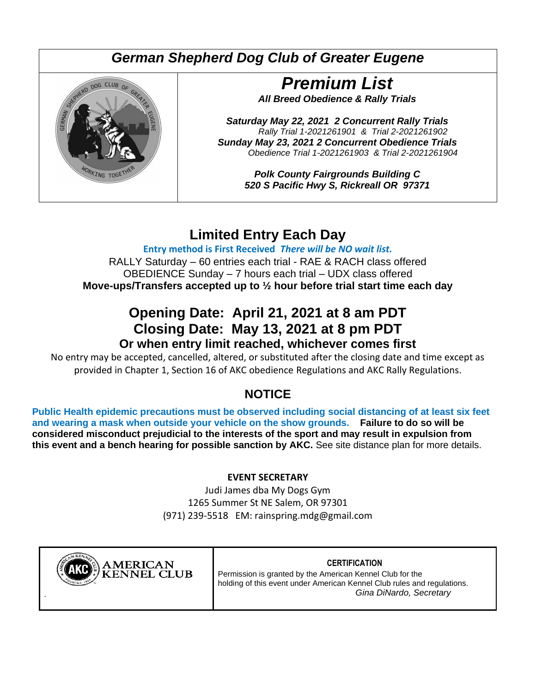# *German Shepherd Dog Club of Greater Eugene*



# *Premium List*

*All Breed Obedience & Rally Trials*

*Saturday May 22, 2021 2 Concurrent Rally Trials Rally Trial 1-2021261901 & Trial 2-2021261902 Sunday May 23, 2021 2 Concurrent Obedience Trials Obedience Trial 1-2021261903 & Trial 2-2021261904*

> *Polk County Fairgrounds Building C 520 S Pacific Hwy S, Rickreall OR 97371*

# **Limited Entry Each Day**

**Entry method is First Received** *There will be NO wait list.*

RALLY Saturday – 60 entries each trial - RAE & RACH class offered OBEDIENCE Sunday – 7 hours each trial – UDX class offered **Move-ups/Transfers accepted up to ½ hour before trial start time each day**

## **Opening Date: April 21, 2021 at 8 am PDT Closing Date: May 13, 2021 at 8 pm PDT Or when entry limit reached, whichever comes first**

No entry may be accepted, cancelled, altered, or substituted after the closing date and time except as provided in Chapter 1, Section 16 of AKC obedience Regulations and AKC Rally Regulations.

# **NOTICE**

**Public Health epidemic precautions must be observed including social distancing of at least six feet and wearing a mask when outside your vehicle on the show grounds. Failure to do so will be considered misconduct prejudicial to the interests of the sport and may result in expulsion from this event and a bench hearing for possible sanction by AKC.** See site distance plan for more details.

#### **EVENT SECRETARY**

Judi James dba My Dogs Gym 1265 Summer St NE Salem, OR 97301 (971) 239-5518 EM: rainspring.mdg@gmail.com



**CERTIFICATION** Permission is granted by the American Kennel Club for the holding of this event under American Kennel Club rules and regulations. *Gina DiNardo, Secretary*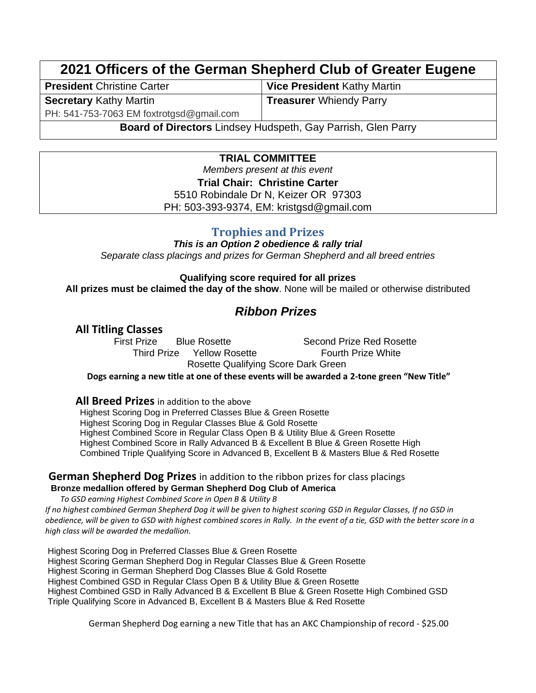# **2021 Officers of the German Shepherd Club of Greater Eugene**

**President** Christine Carter **Vice President** Kathy Martin **Secretary** Kathy Martin

**Treasurer** Whiendy Parry

PH: 541-753-7063 EM foxtrotgsd@gmail.com

**Board of Directors** Lindsey Hudspeth, Gay Parrish, Glen Parry

#### **TRIAL COMMITTEE**

*Members present at this event* **Trial Chair: Christine Carter** 5510 Robindale Dr N, Keizer OR 97303 PH: 503-393-9374, EM: kristgsd@gmail.com

#### **Trophies and Prizes**

*This is an Option 2 obedience & rally trial Separate class placings and prizes for German Shepherd and all breed entries*

**Qualifying score required for all prizes**

**All prizes must be claimed the day of the show**. None will be mailed or otherwise distributed

### *Ribbon Prizes*

**All Titling Classes**

**Blue Rosette** Second Prize Red Rosette Third Prize Yellow Rosette **Fourth Prize White** Rosette Qualifying Score Dark Green

**Dogs earning a new title at one of these events will be awarded a 2-tone green "New Title"**

**All Breed Prizes** in addition to the above

Highest Scoring Dog in Preferred Classes Blue & Green Rosette Highest Scoring Dog in Regular Classes Blue & Gold Rosette Highest Combined Score in Regular Class Open B & Utility Blue & Green Rosette Highest Combined Score in Rally Advanced B & Excellent B Blue & Green Rosette High Combined Triple Qualifying Score in Advanced B, Excellent B & Masters Blue & Red Rosette

**German Shepherd Dog Prizes** in addition to the ribbon prizes for class placings

**Bronze medallion offered by German Shepherd Dog Club of America** 

*To GSD earning Highest Combined Score in Open B & Utility B If no highest combined German Shepherd Dog it will be given to highest scoring GSD in Regular Classes, If no GSD in obedience, will be given to GSD with highest combined scores in Rally. In the event of a tie, GSD with the better score in a high class will be awarded the medallion.*

Highest Scoring Dog in Preferred Classes Blue & Green Rosette Highest Scoring German Shepherd Dog in Regular Classes Blue & Green Rosette Highest Scoring in German Shepherd Dog Classes Blue & Gold Rosette Highest Combined GSD in Regular Class Open B & Utility Blue & Green Rosette Highest Combined GSD in Rally Advanced B & Excellent B Blue & Green Rosette High Combined GSD Triple Qualifying Score in Advanced B, Excellent B & Masters Blue & Red Rosette

German Shepherd Dog earning a new Title that has an AKC Championship of record - \$25.00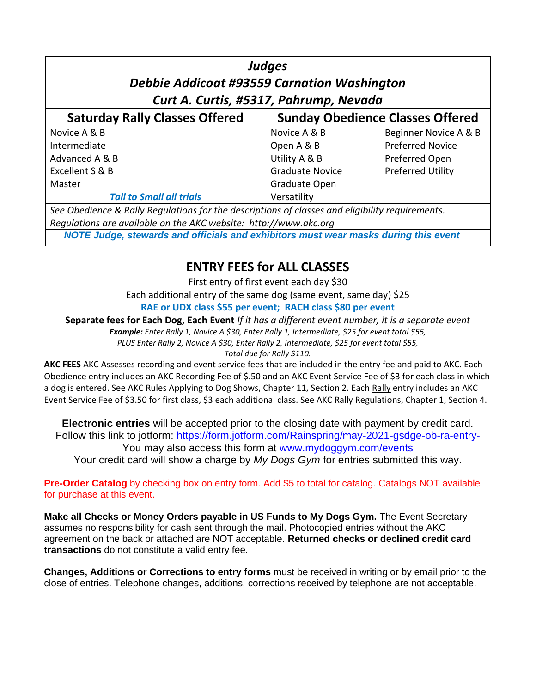| <b>Judges</b><br><b>Debbie Addicoat #93559 Carnation Washington</b><br>Curt A. Curtis, #5317, Pahrump, Nevada                                                       |                                         |                          |  |
|---------------------------------------------------------------------------------------------------------------------------------------------------------------------|-----------------------------------------|--------------------------|--|
| <b>Saturday Rally Classes Offered</b>                                                                                                                               | <b>Sunday Obedience Classes Offered</b> |                          |  |
| Novice A & B                                                                                                                                                        | Novice A & B                            | Beginner Novice A & B    |  |
| Intermediate                                                                                                                                                        | Open A & B                              | <b>Preferred Novice</b>  |  |
| Advanced A & B                                                                                                                                                      | Utility A & B                           | Preferred Open           |  |
| Excellent S & B                                                                                                                                                     | <b>Graduate Novice</b>                  | <b>Preferred Utility</b> |  |
| Master                                                                                                                                                              | Graduate Open                           |                          |  |
| <b>Tall to Small all trials</b>                                                                                                                                     | Versatility                             |                          |  |
| See Obedience & Rally Regulations for the descriptions of classes and eligibility requirements.<br>Requlations are available on the AKC website: http://www.akc.org |                                         |                          |  |

*NOTE Judge, stewards and officials and exhibitors must wear masks during this event*

### **ENTRY FEES for ALL CLASSES**

First entry of first event each day \$30 Each additional entry of the same dog (same event, same day) \$25 **RAE or UDX class \$55 per event; RACH class \$80 per event**

**Separate fees for Each Dog, Each Event** *If it has a different event number, it is a separate event*

*Example: Enter Rally 1, Novice A \$30, Enter Rally 1, Intermediate, \$25 for event total \$55, PLUS Enter Rally 2, Novice A \$30, Enter Rally 2, Intermediate, \$25 for event total \$55,* 

*Total due for Rally \$110.*

**AKC FEES** AKC Assesses recording and event service fees that are included in the entry fee and paid to AKC. Each Obedience entry includes an AKC Recording Fee of \$.50 and an AKC Event Service Fee of \$3 for each class in which a dog is entered. See AKC Rules Applying to Dog Shows, Chapter 11, Section 2. Each Rally entry includes an AKC Event Service Fee of \$3.50 for first class, \$3 each additional class. See AKC Rally Regulations, Chapter 1, Section 4.

**Electronic entries** will be accepted prior to the closing date with payment by credit card. Follow this link to jotform: https://form.jotform.com/Rainspring/may-2021-gsdge-ob-ra-entry-You may also access this form at [www.mydoggym.com/events](http://www.mydoggym.com/events) Your credit card will show a charge by *My Dogs Gym* for entries submitted this way.

**Pre-Order Catalog** by checking box on entry form. Add \$5 to total for catalog. Catalogs NOT available for purchase at this event.

**Make all Checks or Money Orders payable in US Funds to My Dogs Gym.** The Event Secretary assumes no responsibility for cash sent through the mail. Photocopied entries without the AKC agreement on the back or attached are NOT acceptable. **Returned checks or declined credit card transactions** do not constitute a valid entry fee.

**Changes, Additions or Corrections to entry forms** must be received in writing or by email prior to the close of entries. Telephone changes, additions, corrections received by telephone are not acceptable.